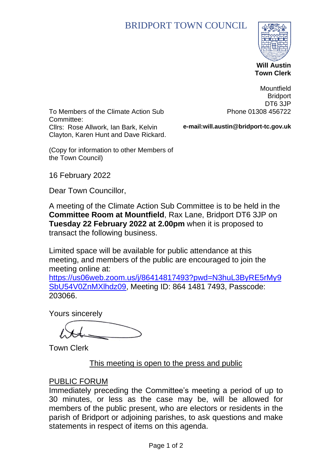# BRIDPORT TOWN COUNCIL



 **Town Clerk**

To Members of the Climate Action Sub Committee: Cllrs: Rose Allwork, Ian Bark, Kelvin Clayton, Karen Hunt and Dave Rickard.

**Mountfield Bridport** DT6 3JP Phone 01308 456722

**e-mail:will.austin@bridport-tc.gov.uk**

(Copy for information to other Members of the Town Council)

16 February 2022

Dear Town Councillor,

A meeting of the Climate Action Sub Committee is to be held in the **Committee Room at Mountfield**, Rax Lane, Bridport DT6 3JP on **Tuesday 22 February 2022 at 2.00pm** when it is proposed to transact the following business.

Limited space will be available for public attendance at this meeting, and members of the public are encouraged to join the meeting online at:

[https://us06web.zoom.us/j/86414817493?pwd=N3huL3ByRE5rMy9](https://us06web.zoom.us/j/86414817493?pwd=N3huL3ByRE5rMy9SbU54V0ZnMXlhdz09) [SbU54V0ZnMXlhdz09,](https://us06web.zoom.us/j/86414817493?pwd=N3huL3ByRE5rMy9SbU54V0ZnMXlhdz09) Meeting ID: 864 1481 7493, Passcode: 203066.

Yours sincerely

Town Clerk

#### This meeting is open to the press and public

#### PUBLIC FORUM

Immediately preceding the Committee's meeting a period of up to 30 minutes, or less as the case may be, will be allowed for members of the public present, who are electors or residents in the parish of Bridport or adjoining parishes, to ask questions and make statements in respect of items on this agenda.